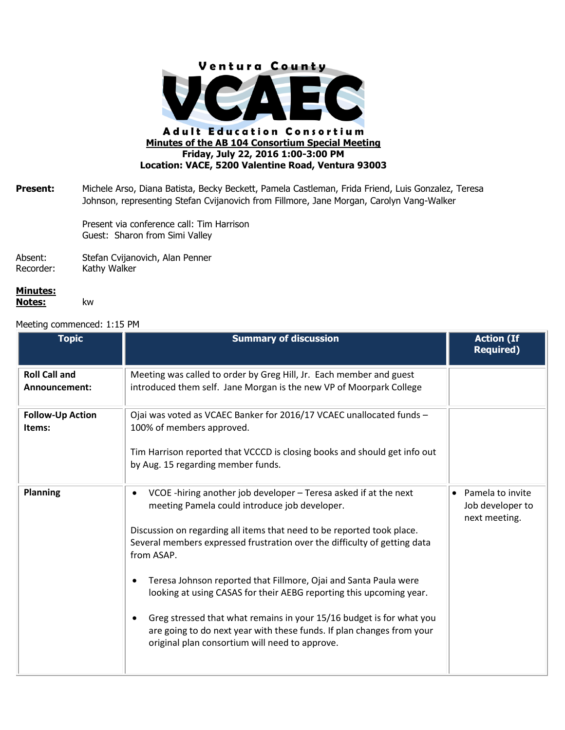

**Present:** Michele Arso, Diana Batista, Becky Beckett, Pamela Castleman, Frida Friend, Luis Gonzalez, Teresa Johnson, representing Stefan Cvijanovich from Fillmore, Jane Morgan, Carolyn Vang-Walker

> Present via conference call: Tim Harrison Guest: Sharon from Simi Valley

Absent: Stefan Cvijanovich, Alan Penner Recorder: Kathy Walker

## **Minutes: Notes:** kw

## Meeting commenced: 1:15 PM

| <b>Topic</b>                          | <b>Summary of discussion</b>                                                                                                                                                                                 | <b>Action (If</b><br><b>Required)</b>                              |
|---------------------------------------|--------------------------------------------------------------------------------------------------------------------------------------------------------------------------------------------------------------|--------------------------------------------------------------------|
| <b>Roll Call and</b><br>Announcement: | Meeting was called to order by Greg Hill, Jr. Each member and guest<br>introduced them self. Jane Morgan is the new VP of Moorpark College                                                                   |                                                                    |
| <b>Follow-Up Action</b><br>Items:     | Ojai was voted as VCAEC Banker for 2016/17 VCAEC unallocated funds -<br>100% of members approved.                                                                                                            |                                                                    |
|                                       | Tim Harrison reported that VCCCD is closing books and should get info out<br>by Aug. 15 regarding member funds.                                                                                              |                                                                    |
| <b>Planning</b>                       | VCOE-hiring another job developer - Teresa asked if at the next<br>$\bullet$<br>meeting Pamela could introduce job developer.                                                                                | Pamela to invite<br>$\bullet$<br>Job developer to<br>next meeting. |
|                                       | Discussion on regarding all items that need to be reported took place.<br>Several members expressed frustration over the difficulty of getting data<br>from ASAP.                                            |                                                                    |
|                                       | Teresa Johnson reported that Fillmore, Ojai and Santa Paula were<br>looking at using CASAS for their AEBG reporting this upcoming year.                                                                      |                                                                    |
|                                       | Greg stressed that what remains in your 15/16 budget is for what you<br>$\bullet$<br>are going to do next year with these funds. If plan changes from your<br>original plan consortium will need to approve. |                                                                    |